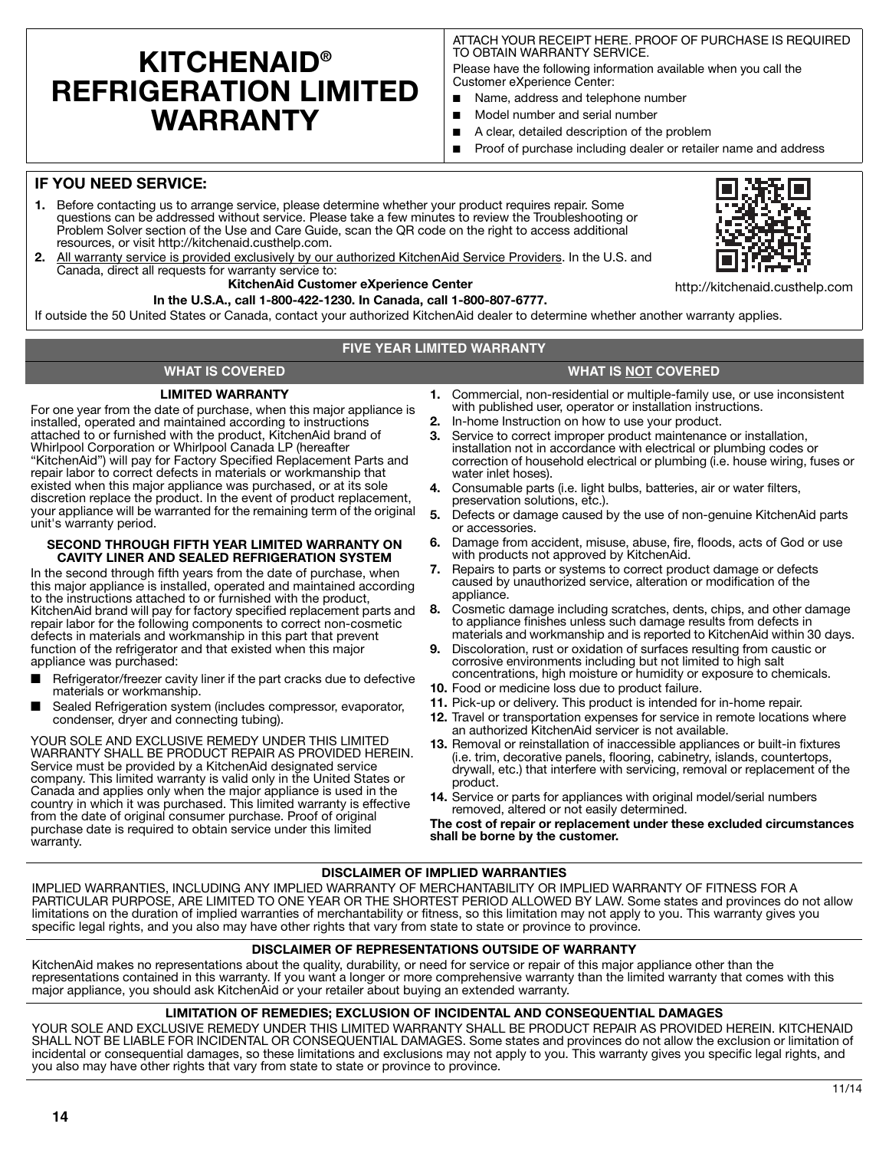# **KITCHENAID® REFRIGERATION LIMITED WARRANTY**

ATTACH YOUR RECEIPT HERE. PROOF OF PURCHASE IS REQUIRED TO OBTAIN WARRANTY SERVICE.

Please have the following information available when you call the Customer eXperience Center:

- Name, address and telephone number
- Model number and serial number
- A clear, detailed description of the problem
- Proof of purchase including dealer or retailer name and address

# **IF YOU NEED SERVICE:**

- **1.** Before contacting us to arrange service, please determine whether your product requires repair. Some questions can be addressed without service. Please take a few minutes to review the Troubleshooting or Problem Solver section of the Use and Care Guide, scan the QR code on the right to access additional resources, or visit http://kitchenaid.custhelp.com.
- **2.** All warranty service is provided exclusively by our authorized KitchenAid Service Providers. In the U.S. and Canada, direct all requests for warranty service to:

#### **KitchenAid Customer eXperience Center**

#### **In the U.S.A., call 1-800-422-1230. In Canada, call 1-800-807-6777.**

If outside the 50 United States or Canada, contact your authorized KitchenAid dealer to determine whether another warranty applies.

#### **FIVE YEAR LIMITED WARRANTY**

#### **WHAT IS COVERED WHAT IS NOT COVERED**

#### **LIMITED WARRANTY**

For one year from the date of purchase, when this major appliance is installed, operated and maintained according to instructions attached to or furnished with the product, KitchenAid brand of Whirlpool Corporation or Whirlpool Canada LP (hereafter "KitchenAid") will pay for Factory Specified Replacement Parts and repair labor to correct defects in materials or workmanship that existed when this major appliance was purchased, or at its sole discretion replace the product. In the event of product replacement, your appliance will be warranted for the remaining term of the original unit's warranty period.

#### **SECOND THROUGH FIFTH YEAR LIMITED WARRANTY ON CAVITY LINER AND SEALED REFRIGERATION SYSTEM**

In the second through fifth years from the date of purchase, when this major appliance is installed, operated and maintained according to the instructions attached to or furnished with the product, KitchenAid brand will pay for factory specified replacement parts and repair labor for the following components to correct non-cosmetic defects in materials and workmanship in this part that prevent function of the refrigerator and that existed when this major appliance was purchased:

- Refrigerator/freezer cavity liner if the part cracks due to defective materials or workmanship.
- Sealed Refrigeration system (includes compressor, evaporator, condenser, dryer and connecting tubing).

YOUR SOLE AND EXCLUSIVE REMEDY UNDER THIS LIMITED WARRANTY SHALL BE PRODUCT REPAIR AS PROVIDED HEREIN. Service must be provided by a KitchenAid designated service company. This limited warranty is valid only in the United States or Canada and applies only when the major appliance is used in the country in which it was purchased. This limited warranty is effective from the date of original consumer purchase. Proof of original purchase date is required to obtain service under this limited warranty.

- **1.** Commercial, non-residential or multiple-family use, or use inconsistent with published user, operator or installation instructions.
- **2.** In-home Instruction on how to use your product.
- **3.** Service to correct improper product maintenance or installation, installation not in accordance with electrical or plumbing codes or correction of household electrical or plumbing (i.e. house wiring, fuses or water inlet hoses).
- **4.** Consumable parts (i.e. light bulbs, batteries, air or water filters, preservation solutions, etc.).
- **5.** Defects or damage caused by the use of non-genuine KitchenAid parts or accessories.
- **6.** Damage from accident, misuse, abuse, fire, floods, acts of God or use with products not approved by KitchenAid.
- **7.** Repairs to parts or systems to correct product damage or defects caused by unauthorized service, alteration or modification of the appliance.
- **8.** Cosmetic damage including scratches, dents, chips, and other damage to appliance finishes unless such damage results from defects in materials and workmanship and is reported to KitchenAid within 30 days.
- **9.** Discoloration, rust or oxidation of surfaces resulting from caustic or corrosive environments including but not limited to high salt concentrations, high moisture or humidity or exposure to chemicals.
- **10.** Food or medicine loss due to product failure.
- **11.** Pick-up or delivery. This product is intended for in-home repair.
- **12.** Travel or transportation expenses for service in remote locations where an authorized KitchenAid servicer is not available.
- **13.** Removal or reinstallation of inaccessible appliances or built-in fixtures (i.e. trim, decorative panels, flooring, cabinetry, islands, countertops, drywall, etc.) that interfere with servicing, removal or replacement of the product.
- **14.** Service or parts for appliances with original model/serial numbers removed, altered or not easily determined.

**The cost of repair or replacement under these excluded circumstances shall be borne by the customer.** 

#### **DISCLAIMER OF IMPLIED WARRANTIES**

IMPLIED WARRANTIES, INCLUDING ANY IMPLIED WARRANTY OF MERCHANTABILITY OR IMPLIED WARRANTY OF FITNESS FOR A PARTICULAR PURPOSE, ARE LIMITED TO ONE YEAR OR THE SHORTEST PERIOD ALLOWED BY LAW. Some states and provinces do not allow limitations on the duration of implied warranties of merchantability or fitness, so this limitation may not apply to you. This warranty gives you specific legal rights, and you also may have other rights that vary from state to state or province to province.

#### **DISCLAIMER OF REPRESENTATIONS OUTSIDE OF WARRANTY**

KitchenAid makes no representations about the quality, durability, or need for service or repair of this major appliance other than the representations contained in this warranty. If you want a longer or more comprehensive warranty than the limited warranty that comes with this major appliance, you should ask KitchenAid or your retailer about buying an extended warranty.

#### **LIMITATION OF REMEDIES; EXCLUSION OF INCIDENTAL AND CONSEQUENTIAL DAMAGES**

YOUR SOLE AND EXCLUSIVE REMEDY UNDER THIS LIMITED WARRANTY SHALL BE PRODUCT REPAIR AS PROVIDED HEREIN. KITCHENAID SHALL NOT BE LIABLE FOR INCIDENTAL OR CONSEQUENTIAL DAMAGES. Some states and provinces do not allow the exclusion or limitation of incidental or consequential damages, so these limitations and exclusions may not apply to you. This warranty gives you specific legal rights, and you also may have other rights that vary from state to state or province to province.

http://kitchenaid.custhelp.com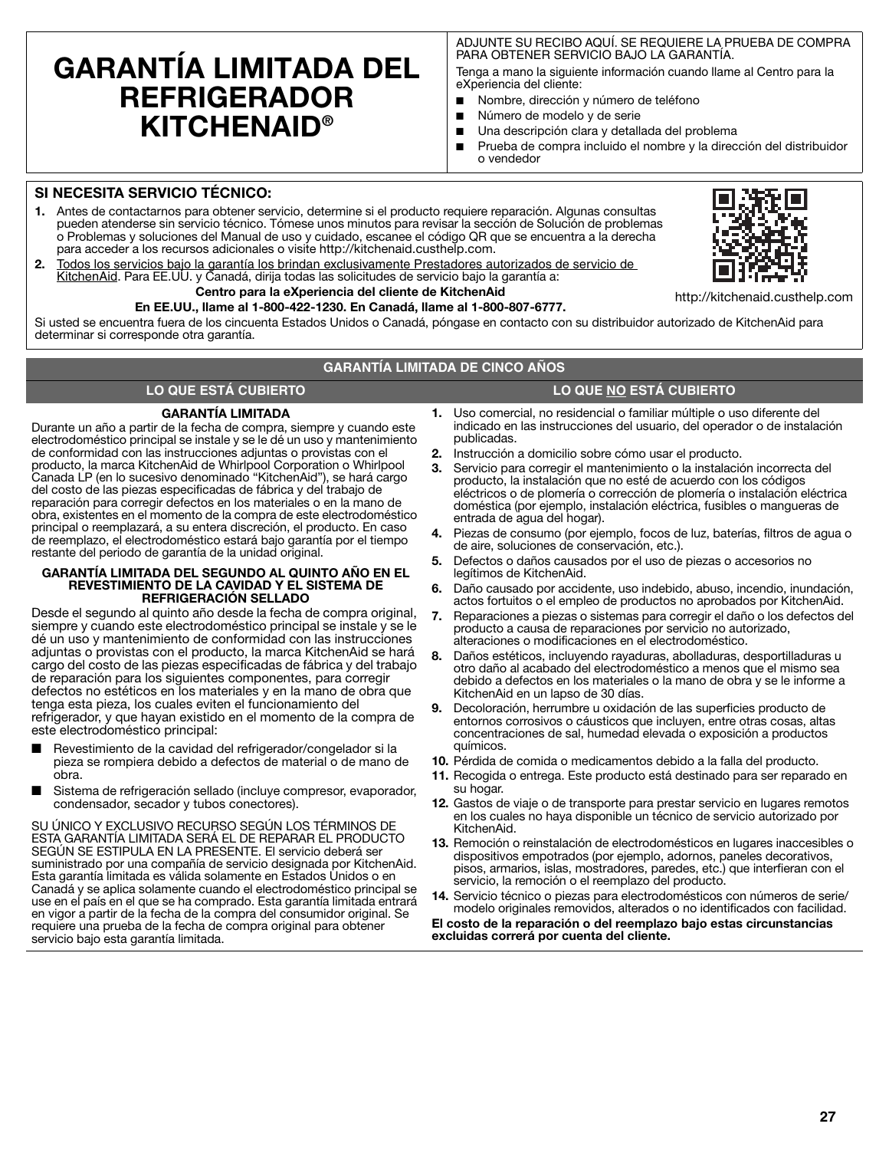# **GARANTÍA LIMITADA DEL REFRIGERADOR KITCHENAID®**

ADJUNTE SU RECIBO AQUÍ. SE REQUIERE LA PRUEBA DE COMPRA PARA OBTENER SERVICIO BAJO LA GARANTÍA.

Tenga a mano la siguiente información cuando llame al Centro para la eXperiencia del cliente:

- Nombre, dirección y número de teléfono
- Número de modelo y de serie
- Una descripción clara y detallada del problema
- Prueba de compra incluido el nombre y la dirección del distribuidor o vendedor

### **SI NECESITA SERVICIO TÉCNICO:**

- **1.** Antes de contactarnos para obtener servicio, determine si el producto requiere reparación. Algunas consultas pueden atenderse sin servicio técnico. Tómese unos minutos para revisar la sección de Solución de problemas o Problemas y soluciones del Manual de uso y cuidado, escanee el código QR que se encuentra a la derecha para acceder a los recursos adicionales o visite http://kitchenaid.custhelp.com.
- **2.** Todos los servicios bajo la garantía los brindan exclusivamente Prestadores autorizados de servicio de KitchenAid. Para EE.UU. y Canadá, dirija todas las solicitudes de servicio bajo la garantía a:

#### **Centro para la eXperiencia del cliente de KitchenAid En EE.UU., llame al 1-800-422-1230. En Canadá, llame al 1-800-807-6777.**

Si usted se encuentra fuera de los cincuenta Estados Unidos o Canadá, póngase en contacto con su distribuidor autorizado de KitchenAid para determinar si corresponde otra garantía.

### **GARANTÍA LIMITADA DE CINCO AÑOS**

# **LO QUE ESTÁ CUBIERTO LO QUE NO ESTÁ CUBIERTO**

# **GARANTÍA LIMITADA**

Durante un año a partir de la fecha de compra, siempre y cuando este electrodoméstico principal se instale y se le dé un uso y mantenimiento de conformidad con las instrucciones adjuntas o provistas con el producto, la marca KitchenAid de Whirlpool Corporation o Whirlpool Canada LP (en lo sucesivo denominado "KitchenAid"), se hará cargo del costo de las piezas especificadas de fábrica y del trabajo de reparación para corregir defectos en los materiales o en la mano de obra, existentes en el momento de la compra de este electrodoméstico principal o reemplazará, a su entera discreción, el producto. En caso de reemplazo, el electrodoméstico estará bajo garantía por el tiempo restante del periodo de garantía de la unidad original.

#### **GARANTÍA LIMITADA DEL SEGUNDO AL QUINTO AÑO EN EL REVESTIMIENTO DE LA CAVIDAD Y EL SISTEMA DE REFRIGERACIÓN SELLADO**

Desde el segundo al quinto año desde la fecha de compra original, siempre y cuando este electrodoméstico principal se instale y se le dé un uso y mantenimiento de conformidad con las instrucciones adjuntas o provistas con el producto, la marca KitchenAid se hará cargo del costo de las piezas especificadas de fábrica y del trabajo de reparación para los siguientes componentes, para corregir defectos no estéticos en los materiales y en la mano de obra que tenga esta pieza, los cuales eviten el funcionamiento del refrigerador, y que hayan existido en el momento de la compra de este electrodoméstico principal:

- Revestimiento de la cavidad del refrigerador/congelador si la pieza se rompiera debido a defectos de material o de mano de obra.
- Sistema de refrigeración sellado (incluye compresor, evaporador, condensador, secador y tubos conectores).

SU ÚNICO Y EXCLUSIVO RECURSO SEGÚN LOS TÉRMINOS DE ESTA GARANTÍA LIMITADA SERÁ EL DE REPARAR EL PRODUCTO SEGÚN SE ESTIPULA EN LA PRESENTE. El servicio deberá ser suministrado por una compañía de servicio designada por KitchenAid. Esta garantía limitada es válida solamente en Estados Unidos o en Canadá y se aplica solamente cuando el electrodoméstico principal se use en el país en el que se ha comprado. Esta garantía limitada entrará en vigor a partir de la fecha de la compra del consumidor original. Se requiere una prueba de la fecha de compra original para obtener servicio bajo esta garantía limitada.

- **1.** Uso comercial, no residencial o familiar múltiple o uso diferente del indicado en las instrucciones del usuario, del operador o de instalación publicadas.
- **2.** Instrucción a domicilio sobre cómo usar el producto.
- **3.** Servicio para corregir el mantenimiento o la instalación incorrecta del producto, la instalación que no esté de acuerdo con los códigos eléctricos o de plomería o corrección de plomería o instalación eléctrica doméstica (por ejemplo, instalación eléctrica, fusibles o mangueras de entrada de agua del hogar).
- **4.** Piezas de consumo (por ejemplo, focos de luz, baterías, filtros de agua o de aire, soluciones de conservación, etc.).
- **5.** Defectos o daños causados por el uso de piezas o accesorios no legítimos de KitchenAid.
- **6.** Daño causado por accidente, uso indebido, abuso, incendio, inundación, actos fortuitos o el empleo de productos no aprobados por KitchenAid.
- **7.** Reparaciones a piezas o sistemas para corregir el daño o los defectos del producto a causa de reparaciones por servicio no autorizado, alteraciones o modificaciones en el electrodoméstico.
- **8.** Daños estéticos, incluyendo rayaduras, abolladuras, desportilladuras u otro daño al acabado del electrodoméstico a menos que el mismo sea debido a defectos en los materiales o la mano de obra y se le informe a KitchenAid en un lapso de 30 días.
- **9.** Decoloración, herrumbre u oxidación de las superficies producto de entornos corrosivos o cáusticos que incluyen, entre otras cosas, altas concentraciones de sal, humedad elevada o exposición a productos químicos.
- **10.** Pérdida de comida o medicamentos debido a la falla del producto.
- **11.** Recogida o entrega. Este producto está destinado para ser reparado en su hogar.
- **12.** Gastos de viaje o de transporte para prestar servicio en lugares remotos en los cuales no haya disponible un técnico de servicio autorizado por KitchenAid.
- **13.** Remoción o reinstalación de electrodomésticos en lugares inaccesibles o dispositivos empotrados (por ejemplo, adornos, paneles decorativos, pisos, armarios, islas, mostradores, paredes, etc.) que interfieran con el servicio, la remoción o el reemplazo del producto.
- **14.** Servicio técnico o piezas para electrodomésticos con números de serie/ modelo originales removidos, alterados o no identificados con facilidad.

**El costo de la reparación o del reemplazo bajo estas circunstancias excluidas correrá por cuenta del cliente.** 



http://kitchenaid.custhelp.com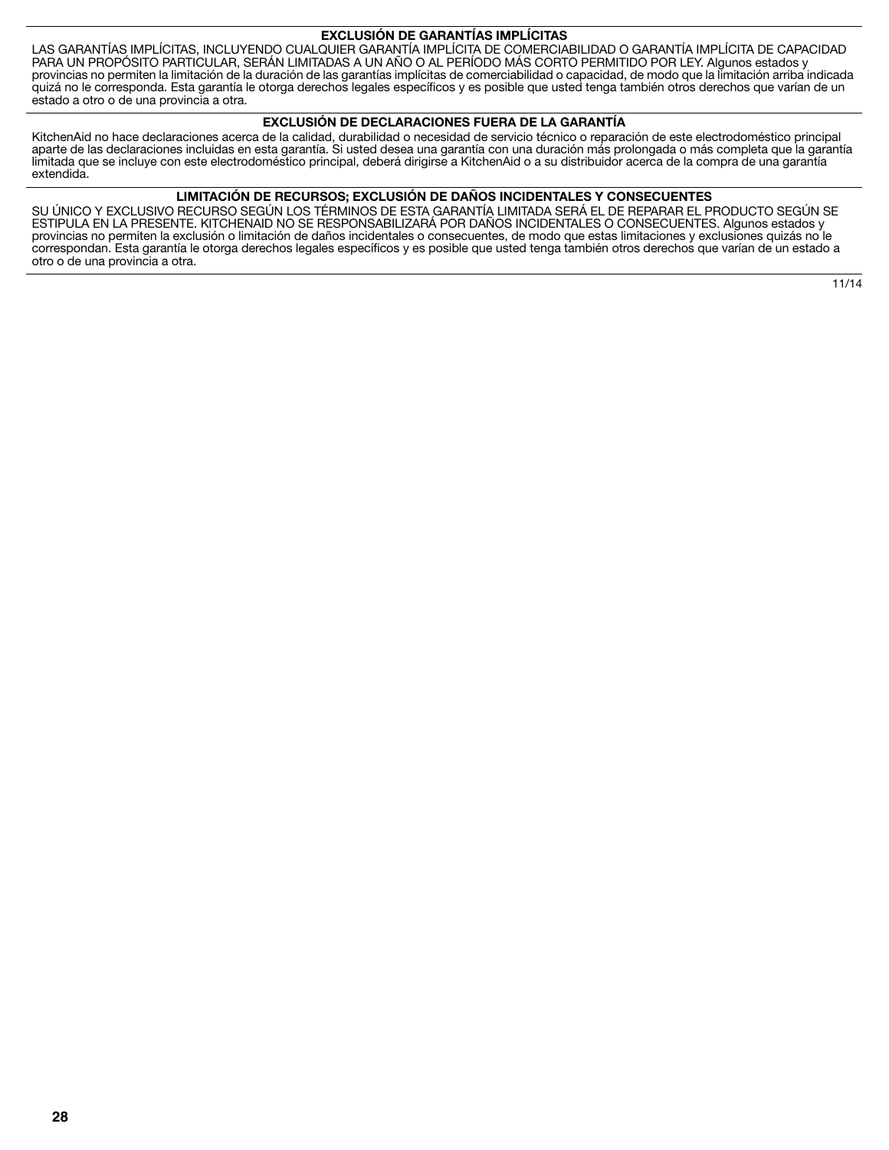#### **EXCLUSIÓN DE GARANTÍAS IMPLÍCITAS**

LAS GARANTÍAS IMPLÍCITAS, INCLUYENDO CUALQUIER GARANTÍA IMPLÍCITA DE COMERCIABILIDAD O GARANTÍA IMPLÍCITA DE CAPACIDAD PARA UN PROPÓSITO PARTICULAR, SERÁN LIMITADAS A UN AÑO O AL PERÍODO MÁS CORTO PERMITIDO POR LEY. Algunos estados y provincias no permiten la limitación de la duración de las garantías implícitas de comerciabilidad o capacidad, de modo que la limitación arriba indicada quizá no le corresponda. Esta garantía le otorga derechos legales específicos y es posible que usted tenga también otros derechos que varían de un estado a otro o de una provincia a otra.

#### **EXCLUSIÓN DE DECLARACIONES FUERA DE LA GARANTÍA**

KitchenAid no hace declaraciones acerca de la calidad, durabilidad o necesidad de servicio técnico o reparación de este electrodoméstico principal aparte de las declaraciones incluidas en esta garantía. Si usted desea una garantía con una duración más prolongada o más completa que la garantía limitada que se incluye con este electrodoméstico principal, deberá dirigirse a KitchenAid o a su distribuidor acerca de la compra de una garantía extendida.

### **LIMITACIÓN DE RECURSOS; EXCLUSIÓN DE DAÑOS INCIDENTALES Y CONSECUENTES**

SU ÚNICO Y EXCLUSIVO RECURSO SEGÚN LOS TÉRMINOS DE ESTA GARANTÍA LIMITADA SERÁ EL DE REPARAR EL PRODUCTO SEGÚN SE ESTIPULA EN LA PRESENTE. KITCHENAID NO SE RESPONSABILIZARÁ POR DAÑOS INCIDENTALES O CONSECUENTES. Algunos estados y provincias no permiten la exclusión o limitación de daños incidentales o consecuentes, de modo que estas limitaciones y exclusiones quizás no le correspondan. Esta garantía le otorga derechos legales específicos y es posible que usted tenga también otros derechos que varían de un estado a otro o de una provincia a otra.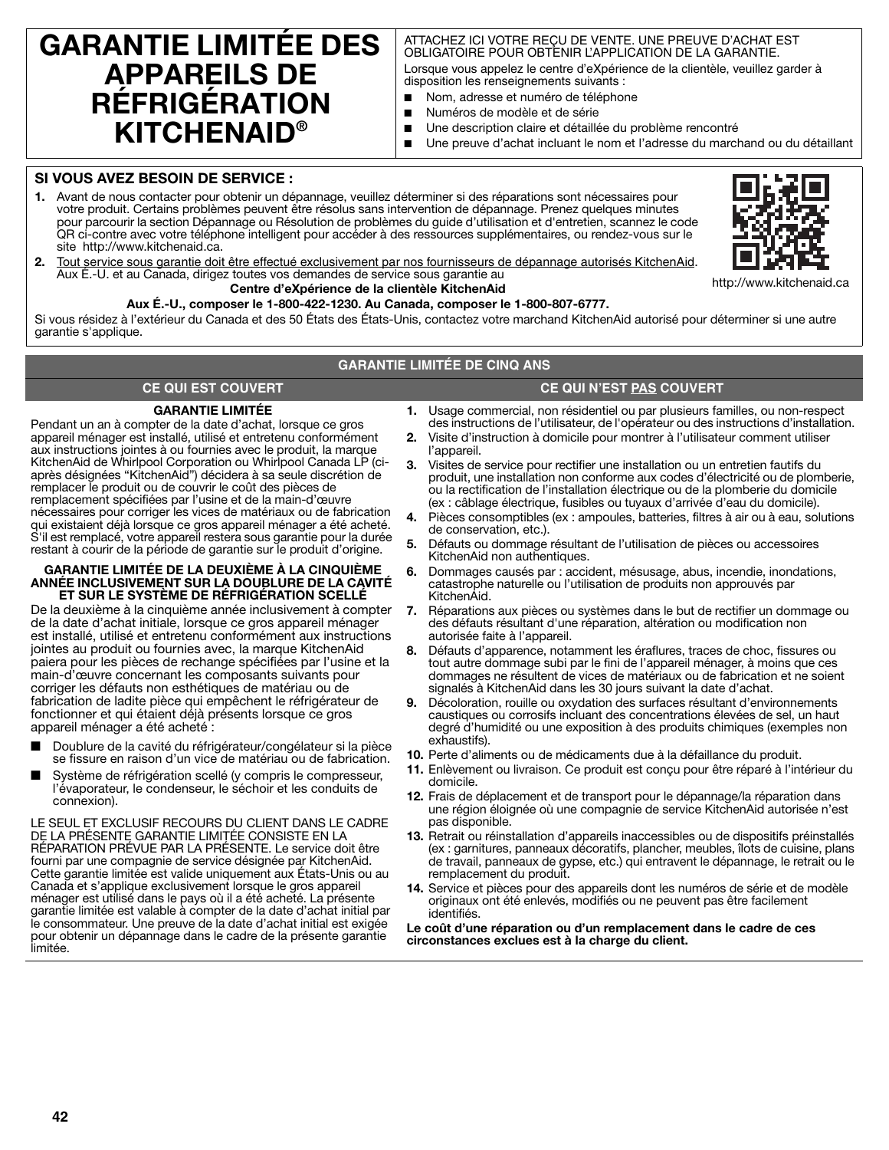# **GARANTIE LIMITÉE DES APPAREILS DE RÉFRIGÉRATION KITCHENAID®**

#### ATTACHEZ ICI VOTRE REÇU DE VENTE. UNE PREUVE D'ACHAT EST OBLIGATOIRE POUR OBTENIR L'APPLICATION DE LA GARANTIE.

Lorsque vous appelez le centre d'eXpérience de la clientèle, veuillez garder à disposition les renseignements suivants :

- Nom, adresse et numéro de téléphone
- Numéros de modèle et de série
- Une description claire et détaillée du problème rencontré
- Une preuve d'achat incluant le nom et l'adresse du marchand ou du détaillant

## **SI VOUS AVEZ BESOIN DE SERVICE :**

**1.** Avant de nous contacter pour obtenir un dépannage, veuillez déterminer si des réparations sont nécessaires pour votre produit. Certains problèmes peuvent être résolus sans intervention de dépannage. Prenez quelques minutes pour parcourir la section Dépannage ou Résolution de problèmes du guide d'utilisation et d'entretien, scannez le code QR ci-contre avec votre téléphone intelligent pour accéder à des ressources supplémentaires, ou rendez-vous sur le site http://www.kitchenaid.ca.



**2.** Tout service sous garantie doit être effectué exclusivement par nos fournisseurs de dépannage autorisés KitchenAid. Aux É.-U. et au Canada, dirigez toutes vos demandes de service sous garantie au

http://www.kitchenaid.ca

**Centre d'eXpérience de la clientèle KitchenAid Aux É.-U., composer le 1-800-422-1230. Au Canada, composer le 1-800-807-6777.**

Si vous résidez à l'extérieur du Canada et des 50 États des États-Unis, contactez votre marchand KitchenAid autorisé pour déterminer si une autre garantie s'applique.

### **GARANTIE LIMITÉE DE CINQ ANS**

# **CE QUI EST COUVERT CE QUI N'EST PAS COUVERT**

# **GARANTIE LIMITÉE**

Pendant un an à compter de la date d'achat, lorsque ce gros appareil ménager est installé, utilisé et entretenu conformément aux instructions jointes à ou fournies avec le produit, la marque KitchenAid de Whirlpool Corporation ou Whirlpool Canada LP (ciaprès désignées "KitchenAid") décidera à sa seule discrétion de remplacer le produit ou de couvrir le coût des pièces de remplacement spécifiées par l'usine et de la main-d'œuvre nécessaires pour corriger les vices de matériaux ou de fabrication qui existaient déjà lorsque ce gros appareil ménager a été acheté. S'il est remplacé, votre appareil restera sous garantie pour la durée restant à courir de la période de garantie sur le produit d'origine.

#### **GARANTIE LIMITÉE DE LA DEUXIÈME À LA CINQUIÈME ANNÉE INCLUSIVEMENT SUR LA DOUBLURE DE LA CAVITÉ ET SUR LE SYSTÈME DE RÉFRIGÉRATION SCELLÉ**

De la deuxième à la cinquième année inclusivement à compter de la date d'achat initiale, lorsque ce gros appareil ménager est installé, utilisé et entretenu conformément aux instructions jointes au produit ou fournies avec, la marque KitchenAid paiera pour les pièces de rechange spécifiées par l'usine et la main-d'œuvre concernant les composants suivants pour corriger les défauts non esthétiques de matériau ou de fabrication de ladite pièce qui empêchent le réfrigérateur de fonctionner et qui étaient déjà présents lorsque ce gros appareil ménager a été acheté :

- Doublure de la cavité du réfrigérateur/congélateur si la pièce se fissure en raison d'un vice de matériau ou de fabrication.
- Système de réfrigération scellé (y compris le compresseur, l'évaporateur, le condenseur, le séchoir et les conduits de connexion).

LE SEUL ET EXCLUSIF RECOURS DU CLIENT DANS LE CADRE DE LA PRÉSENTE GARANTIE LIMITÉE CONSISTE EN LA RÉPARATION PRÉVUE PAR LA PRÉSENTE. Le service doit être fourni par une compagnie de service désignée par KitchenAid. Cette garantie limitée est valide uniquement aux États-Unis ou au Canada et s'applique exclusivement lorsque le gros appareil ménager est utilisé dans le pays où il a été acheté. La présente garantie limitée est valable à compter de la date d'achat initial par le consommateur. Une preuve de la date d'achat initial est exigée pour obtenir un dépannage dans le cadre de la présente garantie limitée.

- **1.** Usage commercial, non résidentiel ou par plusieurs familles, ou non-respect des instructions de l'utilisateur, de l'opérateur ou des instructions d'installation.
- **2.** Visite d'instruction à domicile pour montrer à l'utilisateur comment utiliser l'appareil.
- **3.** Visites de service pour rectifier une installation ou un entretien fautifs du produit, une installation non conforme aux codes d'électricité ou de plomberie, ou la rectification de l'installation électrique ou de la plomberie du domicile (ex : câblage électrique, fusibles ou tuyaux d'arrivée d'eau du domicile).
- **4.** Pièces consomptibles (ex : ampoules, batteries, filtres à air ou à eau, solutions de conservation, etc.).
- **5.** Défauts ou dommage résultant de l'utilisation de pièces ou accessoires KitchenAid non authentiques.
- **6.** Dommages causés par : accident, mésusage, abus, incendie, inondations, catastrophe naturelle ou l'utilisation de produits non approuvés par KitchenAid.
- **7.** Réparations aux pièces ou systèmes dans le but de rectifier un dommage ou des défauts résultant d'une réparation, altération ou modification non autorisée faite à l'appareil.
- **8.** Défauts d'apparence, notamment les éraflures, traces de choc, fissures ou tout autre dommage subi par le fini de l'appareil ménager, à moins que ces dommages ne résultent de vices de matériaux ou de fabrication et ne soient signalés à KitchenAid dans les 30 jours suivant la date d'achat.
- **9.** Décoloration, rouille ou oxydation des surfaces résultant d'environnements caustiques ou corrosifs incluant des concentrations élevées de sel, un haut degré d'humidité ou une exposition à des produits chimiques (exemples non exhaustifs).
- **10.** Perte d'aliments ou de médicaments due à la défaillance du produit.
- **11.** Enlèvement ou livraison. Ce produit est conçu pour être réparé à l'intérieur du domicile.
- **12.** Frais de déplacement et de transport pour le dépannage/la réparation dans une région éloignée où une compagnie de service KitchenAid autorisée n'est pas disponible.
- **13.** Retrait ou réinstallation d'appareils inaccessibles ou de dispositifs préinstallés (ex : garnitures, panneaux décoratifs, plancher, meubles, îlots de cuisine, plans de travail, panneaux de gypse, etc.) qui entravent le dépannage, le retrait ou le remplacement du produit.
- **14.** Service et pièces pour des appareils dont les numéros de série et de modèle originaux ont été enlevés, modifiés ou ne peuvent pas être facilement identifiés.

**Le coût d'une réparation ou d'un remplacement dans le cadre de ces circonstances exclues est à la charge du client.**